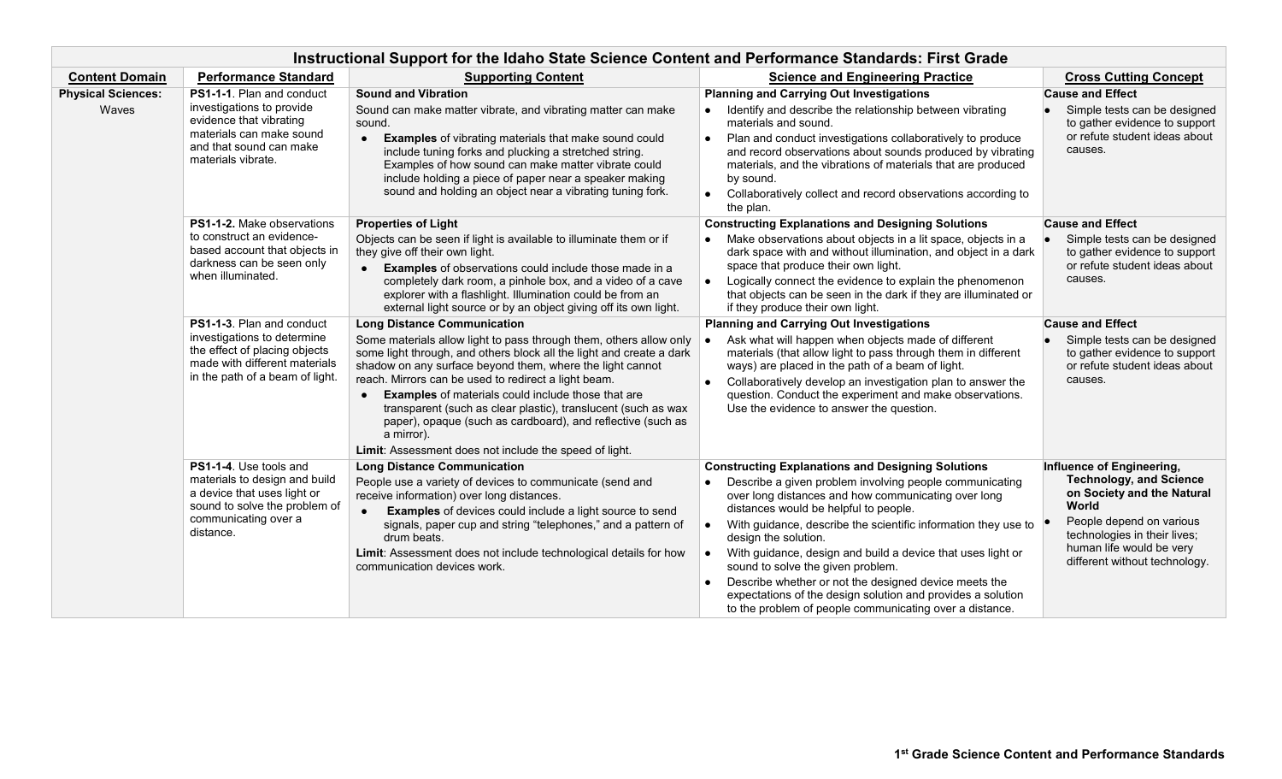| Instructional Support for the Idaho State Science Content and Performance Standards: First Grade |                                                                                                                                                                |                                                                                                                                                                                                                                                                                                                                                                                                                                                                                                                                                                            |                                                                                                                                                                                                                                                                                                                                                                                                                                                                                                                                                                                                      |                                                                                                                                                                                                                             |  |  |  |  |
|--------------------------------------------------------------------------------------------------|----------------------------------------------------------------------------------------------------------------------------------------------------------------|----------------------------------------------------------------------------------------------------------------------------------------------------------------------------------------------------------------------------------------------------------------------------------------------------------------------------------------------------------------------------------------------------------------------------------------------------------------------------------------------------------------------------------------------------------------------------|------------------------------------------------------------------------------------------------------------------------------------------------------------------------------------------------------------------------------------------------------------------------------------------------------------------------------------------------------------------------------------------------------------------------------------------------------------------------------------------------------------------------------------------------------------------------------------------------------|-----------------------------------------------------------------------------------------------------------------------------------------------------------------------------------------------------------------------------|--|--|--|--|
| <b>Content Domain</b>                                                                            | <b>Performance Standard</b>                                                                                                                                    | <b>Supporting Content</b>                                                                                                                                                                                                                                                                                                                                                                                                                                                                                                                                                  | <b>Science and Engineering Practice</b>                                                                                                                                                                                                                                                                                                                                                                                                                                                                                                                                                              | <b>Cross Cutting Concept</b>                                                                                                                                                                                                |  |  |  |  |
| <b>Physical Sciences:</b><br>Waves                                                               | PS1-1-1. Plan and conduct<br>investigations to provide<br>evidence that vibrating<br>materials can make sound<br>and that sound can make<br>materials vibrate. | <b>Sound and Vibration</b><br>Sound can make matter vibrate, and vibrating matter can make<br>sound.<br><b>Examples</b> of vibrating materials that make sound could<br>$\bullet$<br>include tuning forks and plucking a stretched string.<br>Examples of how sound can make matter vibrate could<br>include holding a piece of paper near a speaker making<br>sound and holding an object near a vibrating tuning fork.                                                                                                                                                   | <b>Planning and Carrying Out Investigations</b><br>Identify and describe the relationship between vibrating<br>materials and sound.<br>Plan and conduct investigations collaboratively to produce<br>and record observations about sounds produced by vibrating<br>materials, and the vibrations of materials that are produced<br>by sound.<br>Collaboratively collect and record observations according to<br>the plan.                                                                                                                                                                            | <b>Cause and Effect</b><br>Simple tests can be designed<br>to gather evidence to support<br>or refute student ideas about<br>causes.                                                                                        |  |  |  |  |
|                                                                                                  | PS1-1-2. Make observations<br>to construct an evidence-<br>based account that objects in<br>darkness can be seen only<br>when illuminated.                     | <b>Properties of Light</b><br>Objects can be seen if light is available to illuminate them or if<br>they give off their own light.<br>Examples of observations could include those made in a<br>completely dark room, a pinhole box, and a video of a cave<br>explorer with a flashlight. Illumination could be from an<br>external light source or by an object giving off its own light.                                                                                                                                                                                 | <b>Constructing Explanations and Designing Solutions</b><br>Make observations about objects in a lit space, objects in a<br>dark space with and without illumination, and object in a dark<br>space that produce their own light.<br>Logically connect the evidence to explain the phenomenon<br>$\bullet$<br>that objects can be seen in the dark if they are illuminated or<br>if they produce their own light.                                                                                                                                                                                    | <b>Cause and Effect</b><br>Simple tests can be designed<br>to gather evidence to support<br>or refute student ideas about<br>causes.                                                                                        |  |  |  |  |
|                                                                                                  | PS1-1-3. Plan and conduct<br>investigations to determine<br>the effect of placing objects<br>made with different materials<br>in the path of a beam of light.  | <b>Long Distance Communication</b><br>Some materials allow light to pass through them, others allow only<br>some light through, and others block all the light and create a dark<br>shadow on any surface beyond them, where the light cannot<br>reach. Mirrors can be used to redirect a light beam.<br><b>Examples</b> of materials could include those that are<br>transparent (such as clear plastic), translucent (such as wax<br>paper), opaque (such as cardboard), and reflective (such as<br>a mirror).<br>Limit: Assessment does not include the speed of light. | <b>Planning and Carrying Out Investigations</b><br>Ask what will happen when objects made of different<br>materials (that allow light to pass through them in different<br>ways) are placed in the path of a beam of light.<br>Collaboratively develop an investigation plan to answer the<br>question. Conduct the experiment and make observations.<br>Use the evidence to answer the question.                                                                                                                                                                                                    | <b>Cause and Effect</b><br>Simple tests can be designed<br>to gather evidence to support<br>or refute student ideas about<br>causes.                                                                                        |  |  |  |  |
|                                                                                                  | PS1-1-4. Use tools and<br>materials to design and build<br>a device that uses light or<br>sound to solve the problem of<br>communicating over a<br>distance.   | <b>Long Distance Communication</b><br>People use a variety of devices to communicate (send and<br>receive information) over long distances.<br><b>Examples</b> of devices could include a light source to send<br>$\bullet$<br>signals, paper cup and string "telephones," and a pattern of<br>drum beats.<br>Limit: Assessment does not include technological details for how<br>communication devices work.                                                                                                                                                              | <b>Constructing Explanations and Designing Solutions</b><br>Describe a given problem involving people communicating<br>over long distances and how communicating over long<br>distances would be helpful to people.<br>With guidance, describe the scientific information they use to<br>design the solution.<br>With guidance, design and build a device that uses light or<br>sound to solve the given problem.<br>Describe whether or not the designed device meets the<br>expectations of the design solution and provides a solution<br>to the problem of people communicating over a distance. | Influence of Engineering,<br><b>Technology, and Science</b><br>on Society and the Natural<br>World<br>People depend on various<br>technologies in their lives;<br>human life would be very<br>different without technology. |  |  |  |  |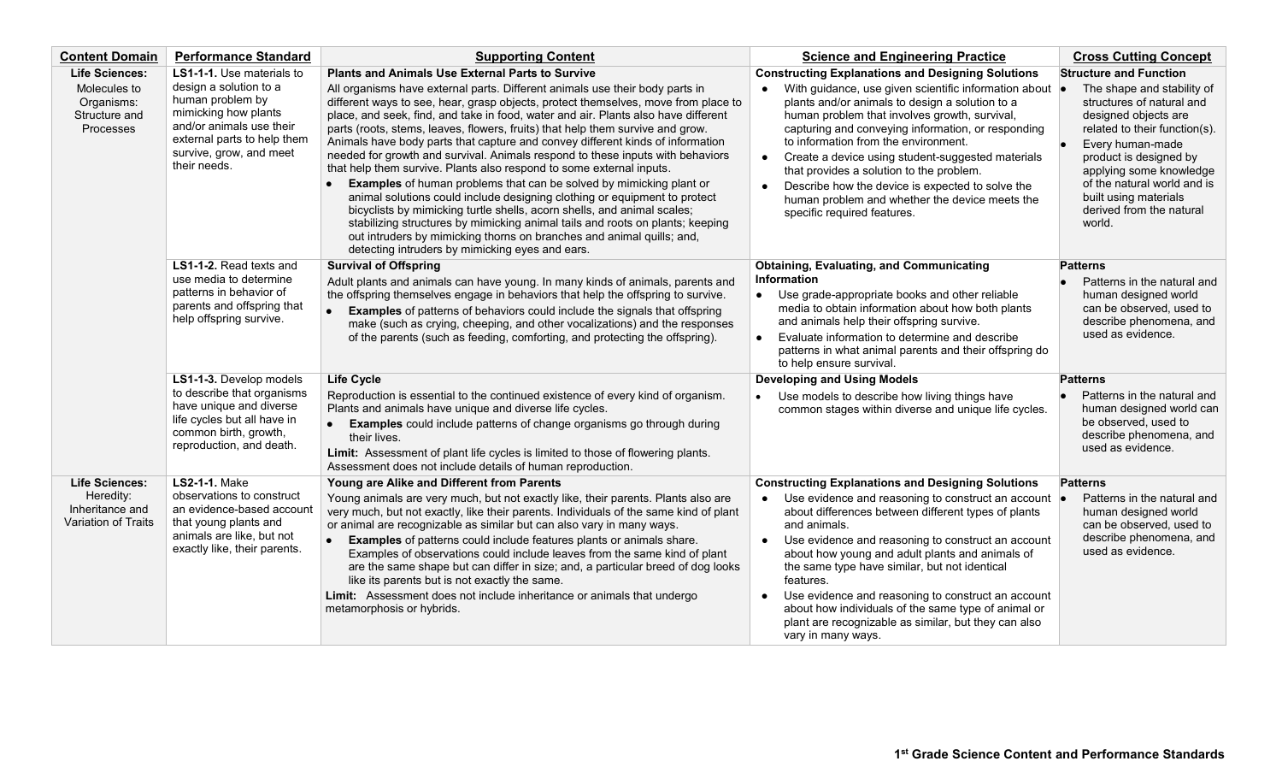| <b>Content Domain</b>                               | <b>Performance Standard</b>                                                                                                                                          | <b>Supporting Content</b>                                                                                                                                                                                                                                                                                                                                                                                                                                                                                                                                                                                                                                               | <b>Science and Engineering Practice</b>                                                                                                                                                                                                                                                                                                                                                                                                                                                                            | <b>Cross Cutting Concept</b>                                                                                                                                                                                                                                    |
|-----------------------------------------------------|----------------------------------------------------------------------------------------------------------------------------------------------------------------------|-------------------------------------------------------------------------------------------------------------------------------------------------------------------------------------------------------------------------------------------------------------------------------------------------------------------------------------------------------------------------------------------------------------------------------------------------------------------------------------------------------------------------------------------------------------------------------------------------------------------------------------------------------------------------|--------------------------------------------------------------------------------------------------------------------------------------------------------------------------------------------------------------------------------------------------------------------------------------------------------------------------------------------------------------------------------------------------------------------------------------------------------------------------------------------------------------------|-----------------------------------------------------------------------------------------------------------------------------------------------------------------------------------------------------------------------------------------------------------------|
| <b>Life Sciences:</b><br>Molecules to               | LS1-1-1. Use materials to<br>design a solution to a                                                                                                                  | <b>Plants and Animals Use External Parts to Survive</b><br>All organisms have external parts. Different animals use their body parts in                                                                                                                                                                                                                                                                                                                                                                                                                                                                                                                                 | <b>Constructing Explanations and Designing Solutions</b><br>With guidance, use given scientific information about $\bullet$<br>$\bullet$                                                                                                                                                                                                                                                                                                                                                                           | <b>Structure and Function</b><br>The shape and stability of                                                                                                                                                                                                     |
| Organisms:<br>Structure and<br>Processes            | human problem by<br>mimicking how plants<br>and/or animals use their<br>external parts to help them<br>survive, grow, and meet<br>their needs.                       | different ways to see, hear, grasp objects, protect themselves, move from place to<br>place, and seek, find, and take in food, water and air. Plants also have different<br>parts (roots, stems, leaves, flowers, fruits) that help them survive and grow.<br>Animals have body parts that capture and convey different kinds of information<br>needed for growth and survival. Animals respond to these inputs with behaviors<br>that help them survive. Plants also respond to some external inputs.<br><b>Examples</b> of human problems that can be solved by mimicking plant or<br>animal solutions could include designing clothing or equipment to protect       | plants and/or animals to design a solution to a<br>human problem that involves growth, survival,<br>capturing and conveying information, or responding<br>to information from the environment.<br>Create a device using student-suggested materials<br>that provides a solution to the problem.<br>Describe how the device is expected to solve the<br>$\bullet$<br>human problem and whether the device meets the<br>specific required features.                                                                  | structures of natural and<br>designed objects are<br>related to their function(s).<br>Every human-made<br>۱o<br>product is designed by<br>applying some knowledge<br>of the natural world and is<br>built using materials<br>derived from the natural<br>world. |
|                                                     |                                                                                                                                                                      | bicyclists by mimicking turtle shells, acorn shells, and animal scales;<br>stabilizing structures by mimicking animal tails and roots on plants; keeping<br>out intruders by mimicking thorns on branches and animal quills; and,<br>detecting intruders by mimicking eyes and ears.                                                                                                                                                                                                                                                                                                                                                                                    |                                                                                                                                                                                                                                                                                                                                                                                                                                                                                                                    |                                                                                                                                                                                                                                                                 |
|                                                     | LS1-1-2. Read texts and<br>use media to determine<br>patterns in behavior of<br>parents and offspring that<br>help offspring survive.                                | <b>Survival of Offspring</b><br>Adult plants and animals can have young. In many kinds of animals, parents and<br>the offspring themselves engage in behaviors that help the offspring to survive.<br><b>Examples</b> of patterns of behaviors could include the signals that offspring<br>make (such as crying, cheeping, and other vocalizations) and the responses<br>of the parents (such as feeding, comforting, and protecting the offspring).                                                                                                                                                                                                                    | <b>Obtaining, Evaluating, and Communicating</b><br><b>Information</b><br>• Use grade-appropriate books and other reliable<br>media to obtain information about how both plants<br>and animals help their offspring survive.<br>Evaluate information to determine and describe<br>$\bullet$<br>patterns in what animal parents and their offspring do<br>to help ensure survival.                                                                                                                                   | <b>Patterns</b><br>Patterns in the natural and<br>human designed world<br>can be observed, used to<br>describe phenomena, and<br>used as evidence.                                                                                                              |
|                                                     | LS1-1-3. Develop models<br>to describe that organisms<br>have unique and diverse<br>life cycles but all have in<br>common birth, growth,<br>reproduction, and death. | <b>Life Cycle</b>                                                                                                                                                                                                                                                                                                                                                                                                                                                                                                                                                                                                                                                       | <b>Developing and Using Models</b>                                                                                                                                                                                                                                                                                                                                                                                                                                                                                 | <b>Patterns</b>                                                                                                                                                                                                                                                 |
|                                                     |                                                                                                                                                                      | Reproduction is essential to the continued existence of every kind of organism.<br>Plants and animals have unique and diverse life cycles.<br><b>Examples</b> could include patterns of change organisms go through during<br>their lives.<br>Limit: Assessment of plant life cycles is limited to those of flowering plants.<br>Assessment does not include details of human reproduction.                                                                                                                                                                                                                                                                             | Use models to describe how living things have<br>common stages within diverse and unique life cycles.                                                                                                                                                                                                                                                                                                                                                                                                              | Patterns in the natural and<br>human designed world can<br>be observed, used to<br>describe phenomena, and<br>used as evidence.                                                                                                                                 |
| <b>Life Sciences:</b>                               | <b>LS2-1-1. Make</b>                                                                                                                                                 | Young are Alike and Different from Parents                                                                                                                                                                                                                                                                                                                                                                                                                                                                                                                                                                                                                              | <b>Constructing Explanations and Designing Solutions</b>                                                                                                                                                                                                                                                                                                                                                                                                                                                           | <b>Patterns</b>                                                                                                                                                                                                                                                 |
| Heredity:<br>Inheritance and<br>Variation of Traits | observations to construct<br>an evidence-based account<br>that young plants and<br>animals are like, but not<br>exactly like, their parents.                         | Young animals are very much, but not exactly like, their parents. Plants also are<br>very much, but not exactly, like their parents. Individuals of the same kind of plant<br>or animal are recognizable as similar but can also vary in many ways.<br><b>Examples</b> of patterns could include features plants or animals share.<br>$\bullet$<br>Examples of observations could include leaves from the same kind of plant<br>are the same shape but can differ in size; and, a particular breed of dog looks<br>like its parents but is not exactly the same.<br>Limit: Assessment does not include inheritance or animals that undergo<br>metamorphosis or hybrids. | Use evidence and reasoning to construct an account $\bullet$<br>about differences between different types of plants<br>and animals.<br>Use evidence and reasoning to construct an account<br>about how young and adult plants and animals of<br>the same type have similar, but not identical<br>features.<br>Use evidence and reasoning to construct an account<br>$\bullet$<br>about how individuals of the same type of animal or<br>plant are recognizable as similar, but they can also<br>vary in many ways. | Patterns in the natural and<br>human designed world<br>can be observed, used to<br>describe phenomena, and<br>used as evidence.                                                                                                                                 |